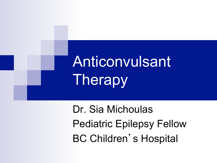# **Anticonvulsant** Therapy

Dr. Sia Michoulas Pediatric Epilepsy Fellow BC Children's Hospital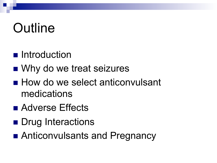# **Outline**

- **n** Introduction
- Why do we treat seizures
- How do we select anticonvulsant medications
- Adverse Effects
- **n** Drug Interactions
- Anticonvulsants and Pregnancy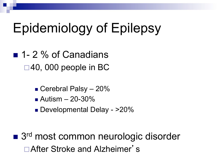# Epidemiology of Epilepsy

- $\blacksquare$  1- 2 % of Canadians  $\Box$ 40, 000 people in BC
	- $\blacksquare$  Cerebral Palsy 20%
	- $\blacksquare$  Autism 20-30%
	- Developmental Delay >20%

■ 3<sup>rd</sup> most common neurologic disorder □ After Stroke and Alzheimer's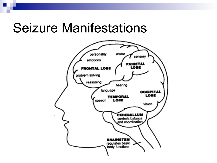### Seizure Manifestations

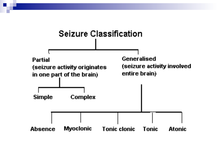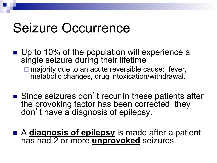### Seizure Occurrence

- **De Up to 10% of the population will experience a** single seizure during their lifetime  $\square$  majority due to an acute reversible cause: fever, metabolic changes, drug intoxication/withdrawal.
- Since seizures don't recur in these patients after the provoking factor has been corrected, they don't have a diagnosis of epilepsy.
- **n** A **diagnosis of epilepsy** is made after a patient has had 2 or more **unprovoked** seizures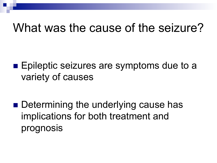#### What was the cause of the seizure?

 $\blacksquare$  Epileptic seizures are symptoms due to a variety of causes

**n** Determining the underlying cause has implications for both treatment and prognosis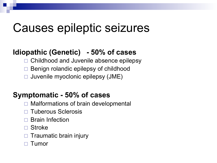#### Causes epileptic seizures

#### **Idiopathic (Genetic) - 50% of cases**

- Childhood and Juvenile absence epilepsy
- $\Box$  Benign rolandic epilepsy of childhood
- Juvenile myoclonic epilepsy (JME)

#### **Symptomatic - 50% of cases**

- Malformations of brain developmental
- ¨ Tuberous Sclerosis
- **Brain Infection**
- **Stroke**
- Traumatic brain injury
- **Tumor**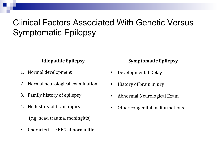#### Clinical Factors Associated With Genetic Versus Symptomatic Epilepsy

- 1. Normal development
- 2. Normal neurological examination
- 3. Family history of epilepsy
- 4. No history of brain injury

(e.g. head trauma, meningitis)

• Characteristic EEG abnormalities

#### **Idiopathic Epilepsy Symptomatic Epilepsy**

- Developmental Delay
- History of brain injury
- Abnormal Neurological Exam
- Other congenital malformations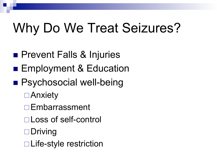# Why Do We Treat Seizures?

- **n** Prevent Falls & Injuries
- **Employment & Education**
- Psychosocial well-being
	- □ Anxiety
	- **□Embarrassment**
	- □ Loss of self-control
	- **□** Driving
	- $\Box$  Life-style restriction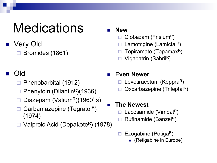# **Medications**

■ Very Old Bromides (1861)

#### n Old

- Phenobarbital (1912)
- Phenytoin (Dilantin<sup>R</sup>)(1936)
- Diazepam (Valium<sup>R</sup>)(1960's)
- Carbamazepine (TegratolR) (1974)
- Valproic Acid (Depakote<sup>R</sup>) (1978)

#### n **New**

- Clobazam (Frisium<sup>R</sup>)
- Lamotrigine (Lamictal<sup>R</sup>)
- Topiramate (Topamax<sup>R</sup>)
- Vigabatrin (Sabril<sup>R</sup>)

#### n **Even Newer**

- Levetiracetam (Keppra<sup>R</sup>)
- Oxcarbazepine (TrileptalR)

#### **The Newest**

- Lacosamide (Vimpat<sup>R</sup>)
- Rufinamide (BanzelR)
- Ezogabine (PotigaR)
	- $\blacksquare$  (Retigabine in Europe)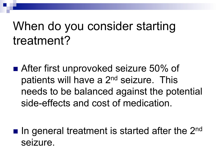### When do you consider starting treatment?

■ After first unprovoked seizure 50% of patients will have a 2<sup>nd</sup> seizure. This needs to be balanced against the potential side-effects and cost of medication.

 $\blacksquare$  In general treatment is started after the 2<sup>nd</sup> seizure.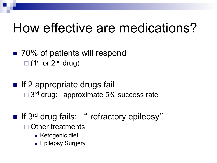## How effective are medications?

#### ■ 70% of patients will respond  $\square$  (1<sup>st</sup> or 2<sup>nd</sup> drug)

- $\blacksquare$  If 2 appropriate drugs fail  $\square$  3<sup>rd</sup> drug: approximate 5% success rate
- **n** If 3<sup>rd</sup> drug fails: " refractory epilepsy"
	- ¨ Other treatments
		- **Ketogenic diet**
		- **Epilepsy Surgery**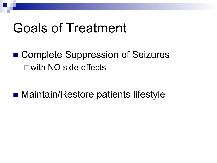### Goals of Treatment

#### ■ Complete Suppression of Seizures  $\square$  with NO side-effects

■ Maintain/Restore patients lifestyle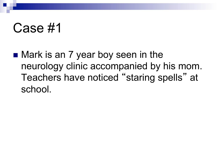### Case #1

 $\blacksquare$  Mark is an 7 year boy seen in the neurology clinic accompanied by his mom. Teachers have noticed "staring spells" at school.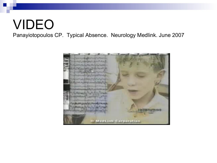### VIDEO

Panayiotopoulos CP. Typical Absence. Neurology Medlink. June 2007

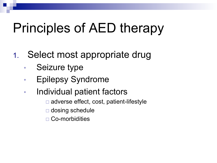# Principles of AED therapy

- 1. Select most appropriate drug
	- Seizure type
	- Epilepsy Syndrome
	- Individual patient factors
		- $\Box$  adverse effect, cost, patient-lifestyle
		- $\Box$  dosing schedule
		- Co-morbidities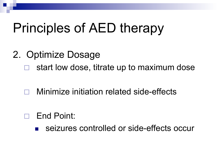# Principles of AED therapy

- 2. Optimize Dosage
	- start low dose, titrate up to maximum dose
	- Minimize initiation related side-effects
	- End Point:
		- **n** seizures controlled or side-effects occur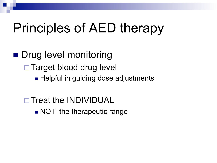# Principles of AED therapy

- **n** Drug level monitoring □ Target blood drug level **Helpful in guiding dose adjustments** 
	- □ Treat the INDIVIDUAL
		- NOT the therapeutic range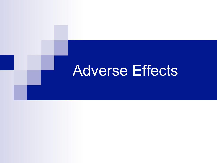# Adverse Effects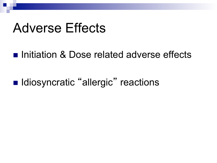### Adverse Effects

#### ■ Initiation & Dose related adverse effects

■ Idiosyncratic "allergic" reactions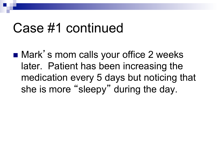### Case #1 continued

■ Mark's mom calls your office 2 weeks later. Patient has been increasing the medication every 5 days but noticing that she is more "sleepy" during the day.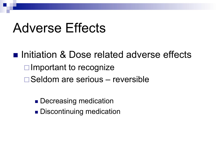### Adverse Effects

- Initiation & Dose related adverse effects  $\square$  Important to recognize  $\square$  Seldom are serious – reversible
	- **Decreasing medication**
	- **Discontinuing medication**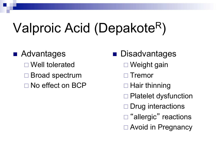# Valproic Acid (Depakote<sup>R</sup>)

 $\blacksquare$  Advantages  $\square$  Well tolerated  $\square$  Broad spectrum  $\square$  No effect on BCP

- **n** Disadvantages
	- $\square$  Weight gain
	- □ Tremor
	- $\square$  Hair thinning
	- $\square$  Platelet dysfunction
	- $\square$  Drug interactions
	- □ "allergic" reactions
	- □ Avoid in Pregnancy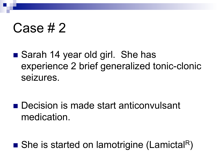### Case # 2

■ Sarah 14 year old girl. She has experience 2 brief generalized tonic-clonic seizures.

■ Decision is made start anticonvulsant medication.

■ She is started on lamotrigine (Lamictal $R$ )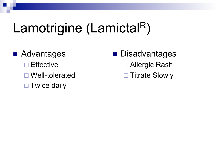# Lamotrigine (LamictalR)

■ Advantages  $\square$  Effective □ Well-tolerated  $\Box$  Twice daily

**n** Disadvantages □ Allergic Rash  $\Box$  Titrate Slowly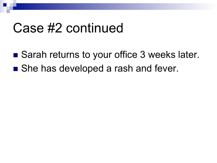### Case #2 continued

■ Sarah returns to your office 3 weeks later. ■ She has developed a rash and fever.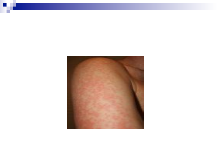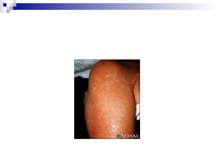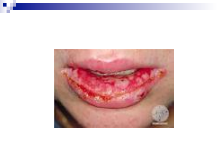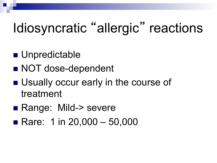# Idiosyncratic "allergic" reactions

- Unpredictable
- NOT dose-dependent
- **u.** Usually occur early in the course of treatment
- Range: Mild-> severe
- **n** Rare: 1 in 20,000 50,000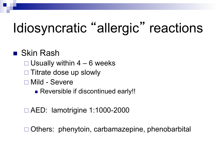# Idiosyncratic "allergic" reactions

#### ■ Skin Rash

- $\Box$  Usually within 4 6 weeks
- $\Box$  Titrate dose up slowly
- □ Mild Severe
	- **Reversible if discontinued early!!**
- □ AED: lamotrigine 1:1000-2000

 $\Box$  Others: phenytoin, carbamazepine, phenobarbital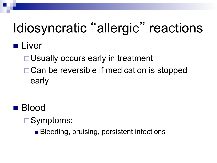# Idiosyncratic "allergic" reactions

**n** Liver

 $\Box$  Usually occurs early in treatment  $\Box$  Can be reversible if medication is stopped early

**■ Blood** 

□Symptoms:

**Bleeding, bruising, persistent infections**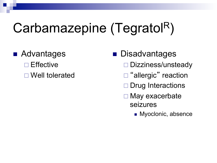# Carbamazepine (TegratolR)

- $\blacksquare$  Advantages  $\square$  Effective
	- $\Box$  Well tolerated
- **n** Disadvantages
	- □ Dizziness/unsteady
	- □ "allergic" reaction
	- □ Drug Interactions
	- $\square$  May exacerbate seizures
		- **Nyoclonic, absence**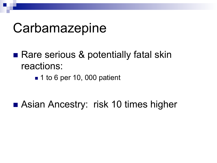### **Carbamazepine**

- Rare serious & potentially fatal skin reactions:
	- $\blacksquare$  1 to 6 per 10, 000 patient

■ Asian Ancestry: risk 10 times higher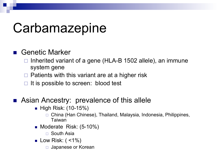## Carbamazepine

#### n Genetic Marker

- Inherited variant of a gene (HLA-B 1502 allele), an immune system gene
- $\Box$  Patients with this variant are at a higher risk
- It is possible to screen: blood test

#### Asian Ancestry: prevalence of this allele

- **High Risk:**  $(10-15%)$ 
	- $\Box$  China (Han Chinese), Thailand, Malaysia, Indonesia, Philippines, Taiwan
- $\blacksquare$  Moderate Risk: (5-10%)
	- $\Box$  South Asia
- **Low Risk:**  $($  **<1%)** 
	- □ Japanese or Korean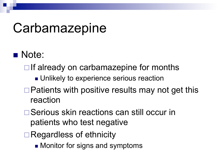## **Carbamazepine**

#### **n** Note:

- $\Box$  If already on carbamazepine for months
	- **Unlikely to experience serious reaction**
- $\Box$  Patients with positive results may not get this reaction
- **□ Serious skin reactions can still occur in** patients who test negative
- $\Box$  Regardless of ethnicity
	- **n** Monitor for signs and symptoms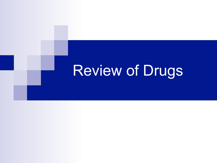# Review of Drugs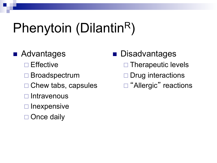# Phenytoin (Dilantin<sup>R</sup>)

- Advantages
	- $\square$  Effective
	- □ Broadspectrum
	- $\square$  Chew tabs, capsules
	- $\Box$  Intravenous
	- $\square$  Inexpensive
	- Once daily
- **n** Disadvantages
	- Therapeutic levels
	- $\square$  Drug interactions
	- □ "Allergic" reactions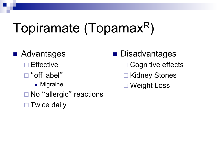# Topiramate (Topamax<sup>R</sup>)

- Advantages  $\square$  Effective □ "off label" **n** Migraine  $\square$  No "allergic" reactions  $\Box$  Twice daily
- **n** Disadvantages
	- $\square$  Cognitive effects
	- **□ Kidney Stones**
	- □ Weight Loss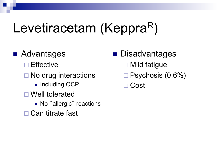# Levetiracetam (KeppraR)

- Advantages
	- $\square$  Effective
	- $\square$  No drug interactions
		- **n** Including OCP
	- $\Box$  Well tolerated
		- No "allergic" reactions
	- $\square$  Can titrate fast
- **n** Disadvantages
	- $\square$  Mild fatigue
	- $\square$  Psychosis (0.6%)
	- ¨ Cost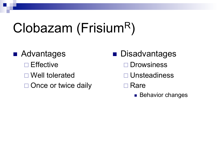# Clobazam (FrisiumR)

■ Advantages  $\square$  Effective  $\Box$  Well tolerated □ Once or twice daily

- **n** Disadvantages
	- **□** Drowsiness
	- **□** Unsteadiness
	- **Rare** 
		- **Behavior changes**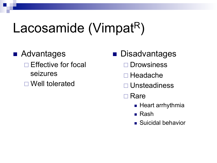# Lacosamide (Vimpat<sup>R</sup>)

- Advantages  $\square$  Effective for focal seizures
	- $\Box$  Well tolerated
- **n** Disadvantages
	- **□** Drowsiness
	- $\square$  Headache
	- $\square$  Unsteadiness
	- □ Rare
		- **Heart arrhythmia**
		- $\blacksquare$  Rash
		- **n** Suicidal behavior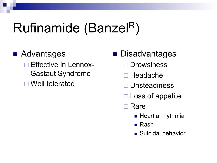# Rufinamide (BanzelR)

#### ■ Advantages

- □ Effective in Lennox-Gastaut Syndrome
- $\square$  Well tolerated
- **n** Disadvantages
	- **□** Drowsiness
	- □ Headache
	- **□** Unsteadiness
	- $\square$  Loss of appetite
	- **Rare** 
		- $\blacksquare$  Heart arrhythmia
		- $\blacksquare$  Rash
		- **n** Suicidal behavior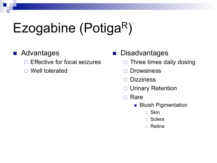# Ezogabine (PotigaR)

#### **n** Advantages

**Effective for focal seizures** 

 $\Box$  Well tolerated

- **n** Disadvantages
	- $\Box$  Three times daily dosing
	- **Drowsiness**
	- **Dizziness**
	- □ Urinary Retention
	- **Rare** 
		- **Bluish Pigmentation** 
			- $\Box$  Skin
			- □ Sclera
			- □ Retina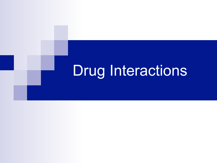# Drug Interactions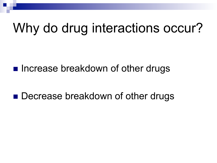# Why do drug interactions occur?

**n** Increase breakdown of other drugs

■ Decrease breakdown of other drugs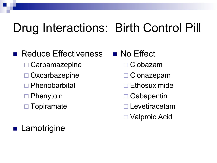### Drug Interactions: Birth Control Pill

- Reduce Effectiveness  $\square$  Carbamazepine **Oxcarbazepine**  $\Box$  Phenobarbital □ Phenytoin  $\Box$  Topiramate
- **n** Lamotrigine
- **No Effect** 
	- □ Clobazam
	- □ Clonazepam
	- $\square$  Ethosuximide
	- **Gabapentin**
	- $\Box$  Levetiracetam
	- □ Valproic Acid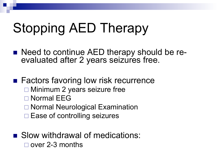# Stopping AED Therapy

- Need to continue AED therapy should be reevaluated after 2 years seizures free.
- Factors favoring low risk recurrence  $\square$  Minimum 2 years seizure free □ Normal EEG □ Normal Neurological Examination
	- $\square$  Ease of controlling seizures
- Slow withdrawal of medications:  $\Box$  over 2-3 months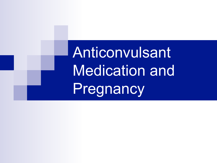Anticonvulsant Medication and Pregnancy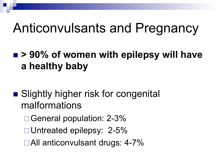### Anticonvulsants and Pregnancy

- > 90% of women with epilepsy will have **a healthy baby**
- Slightly higher risk for congenital malformations
	- **□ General population: 2-3%**
	- □ Untreated epilepsy: 2-5%
	- $\Box$  All anticonvulsant drugs: 4-7%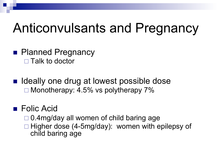## Anticonvulsants and Pregnancy

■ Planned Pregnancy  $\Box$  Talk to doctor

■ Ideally one drug at lowest possible dose  $\square$  Monotherapy: 4.5% vs polytherapy 7%

#### ■ Folic Acid

- $\Box$  0.4mg/day all women of child baring age
- $\Box$  Higher dose (4-5mg/day): women with epilepsy of child baring age